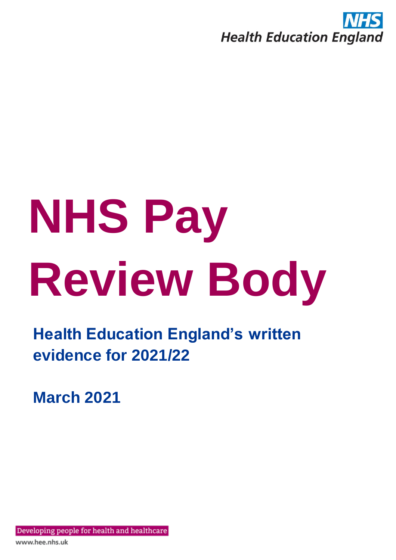

# **NHS Pay Review Body**

**Health Education England's written evidence for 2021/22**

**March 2021**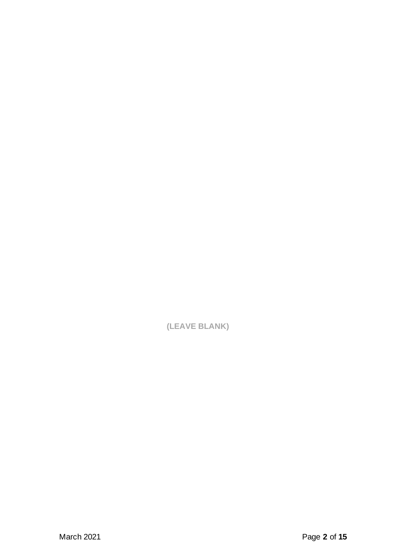**(LEAVE BLANK)**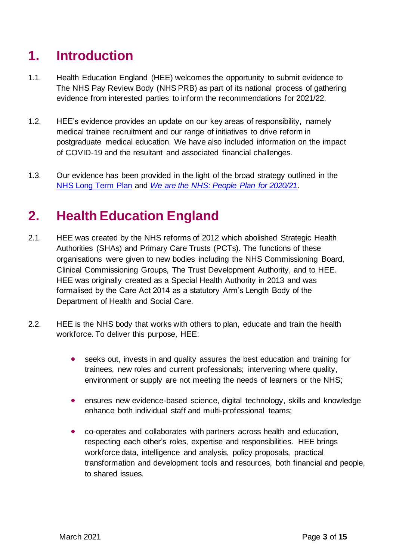# **1. Introduction**

- 1.1. Health Education England (HEE) welcomes the opportunity to submit evidence to The NHS Pay Review Body (NHS PRB) as part of its national process of gathering evidence from interested parties to inform the recommendations for 2021/22.
- 1.2. HEE's evidence provides an update on our key areas of responsibility, namely medical trainee recruitment and our range of initiatives to drive reform in postgraduate medical education. We have also included information on the impact of COVID-19 and the resultant and associated financial challenges.
- 1.3. Our evidence has been provided in the light of the broad strategy outlined in the [NHS Long Term Plan](https://www.longtermplan.nhs.uk/online-version/) and *[We are the NHS: People Plan for 2020/21](https://www.england.nhs.uk/ournhspeople/)*.

# **2. Health Education England**

- 2.1. HEE was created by the NHS reforms of 2012 which abolished Strategic Health Authorities (SHAs) and Primary Care Trusts (PCTs). The functions of these organisations were given to new bodies including the NHS Commissioning Board, Clinical Commissioning Groups, The Trust Development Authority, and to HEE. HEE was originally created as a Special Health Authority in 2013 and was formalised by the Care Act 2014 as a statutory Arm's Length Body of the Department of Health and Social Care.
- 2.2. HEE is the NHS body that works with others to plan, educate and train the health workforce. To deliver this purpose, HEE:
	- seeks out, invests in and quality assures the best education and training for trainees, new roles and current professionals; intervening where quality, environment or supply are not meeting the needs of learners or the NHS;
	- ensures new evidence-based science, digital technology, skills and knowledge enhance both individual staff and multi-professional teams;
	- co-operates and collaborates with partners across health and education, respecting each other's roles, expertise and responsibilities. HEE brings workforce data, intelligence and analysis, policy proposals, practical transformation and development tools and resources, both financial and people, to shared issues.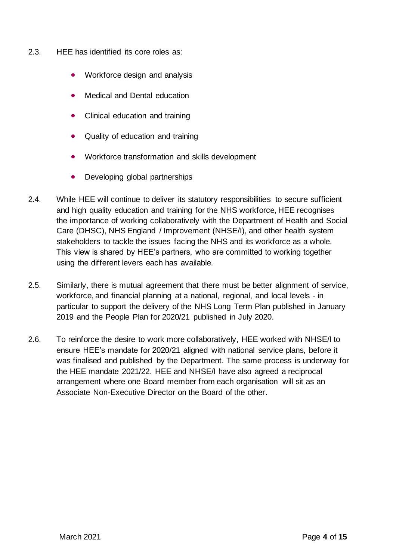- 2.3. HEE has identified its core roles as:
	- Workforce design and analysis
	- Medical and Dental education
	- Clinical education and training
	- Quality of education and training
	- Workforce transformation and skills development
	- Developing global partnerships
- 2.4. While HEE will continue to deliver its statutory responsibilities to secure sufficient and high quality education and training for the NHS workforce, HEE recognises the importance of working collaboratively with the Department of Health and Social Care (DHSC), NHS England / Improvement (NHSE/I), and other health system stakeholders to tackle the issues facing the NHS and its workforce as a whole. This view is shared by HEE's partners, who are committed to working together using the different levers each has available.
- 2.5. Similarly, there is mutual agreement that there must be better alignment of service, workforce, and financial planning at a national, regional, and local levels - in particular to support the delivery of the NHS Long Term Plan published in January 2019 and the People Plan for 2020/21 published in July 2020.
- 2.6. To reinforce the desire to work more collaboratively, HEE worked with NHSE/I to ensure HEE's mandate for 2020/21 aligned with national service plans, before it was finalised and published by the Department. The same process is underway for the HEE mandate 2021/22. HEE and NHSE/I have also agreed a reciprocal arrangement where one Board member from each organisation will sit as an Associate Non-Executive Director on the Board of the other.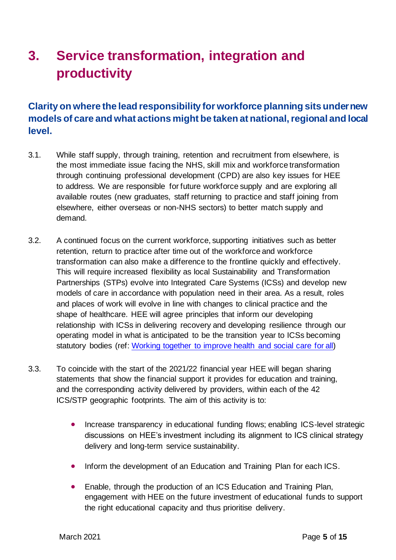# **3. Service transformation, integration and productivity**

# **Clarity on where the lead responsibility for workforce planning sits under new models of care and what actions might be taken at national, regional and local level.**

- 3.1. While staff supply, through training, retention and recruitment from elsewhere, is the most immediate issue facing the NHS, skill mix and workforce transformation through continuing professional development (CPD) are also key issues for HEE to address. We are responsible for future workforce supply and are exploring all available routes (new graduates, staff returning to practice and staff joining from elsewhere, either overseas or non-NHS sectors) to better match supply and demand.
- 3.2. A continued focus on the current workforce, supporting initiatives such as better retention, return to practice after time out of the workforce and workforce transformation can also make a difference to the frontline quickly and effectively. This will require increased flexibility as local Sustainability and Transformation Partnerships (STPs) evolve into Integrated Care Systems (ICSs) and develop new models of care in accordance with population need in their area. As a result, roles and places of work will evolve in line with changes to clinical practice and the shape of healthcare. HEE will agree principles that inform our developing relationship with ICSs in delivering recovery and developing resilience through our operating model in what is anticipated to be the transition year to ICSs becoming statutory bodies (ref: [Working together to improve health and social care](https://www.gov.uk/government/publications/working-together-to-improve-health-and-social-care-for-all) for all)
- 3.3. To coincide with the start of the 2021/22 financial year HEE will began sharing statements that show the financial support it provides for education and training, and the corresponding activity delivered by providers, within each of the 42 ICS/STP geographic footprints. The aim of this activity is to:
	- Increase transparency in educational funding flows; enabling ICS-level strategic discussions on HEE's investment including its alignment to ICS clinical strategy delivery and long-term service sustainability.
	- Inform the development of an Education and Training Plan for each ICS.
	- Enable, through the production of an ICS Education and Training Plan, engagement with HEE on the future investment of educational funds to support the right educational capacity and thus prioritise delivery.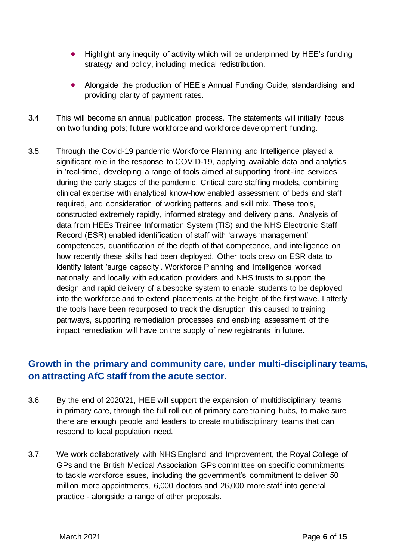- Highlight any inequity of activity which will be underpinned by HEE's funding strategy and policy, including medical redistribution.
- Alongside the production of HEE's Annual Funding Guide, standardising and providing clarity of payment rates.
- 3.4. This will become an annual publication process. The statements will initially focus on two funding pots; future workforce and workforce development funding.
- 3.5. Through the Covid-19 pandemic Workforce Planning and Intelligence played a significant role in the response to COVID-19, applying available data and analytics in 'real-time', developing a range of tools aimed at supporting front-line services during the early stages of the pandemic. Critical care staffing models, combining clinical expertise with analytical know-how enabled assessment of beds and staff required, and consideration of working patterns and skill mix. These tools, constructed extremely rapidly, informed strategy and delivery plans.  Analysis of data from HEEs Trainee Information System (TIS) and the NHS Electronic Staff Record (ESR) enabled identification of staff with 'airways 'management' competences, quantification of the depth of that competence, and intelligence on how recently these skills had been deployed. Other tools drew on ESR data to identify latent 'surge capacity'. Workforce Planning and Intelligence worked nationally and locally with education providers and NHS trusts to support the design and rapid delivery of a bespoke system to enable students to be deployed into the workforce and to extend placements at the height of the first wave. Latterly the tools have been repurposed to track the disruption this caused to training pathways, supporting remediation processes and enabling assessment of the impact remediation will have on the supply of new registrants in future.

# **Growth in the primary and community care, under multi-disciplinary teams, on attracting AfC staff from the acute sector.**

- 3.6. By the end of 2020/21, HEE will support the expansion of multidisciplinary teams in primary care, through the full roll out of primary care training hubs, to make sure there are enough people and leaders to create multidisciplinary teams that can respond to local population need.
- 3.7. We work collaboratively with NHS England and Improvement, the Royal College of GPs and the British Medical Association GPs committee on specific commitments to tackle workforce issues, including the government's commitment to deliver 50 million more appointments, 6,000 doctors and 26,000 more staff into general practice - alongside a range of other proposals.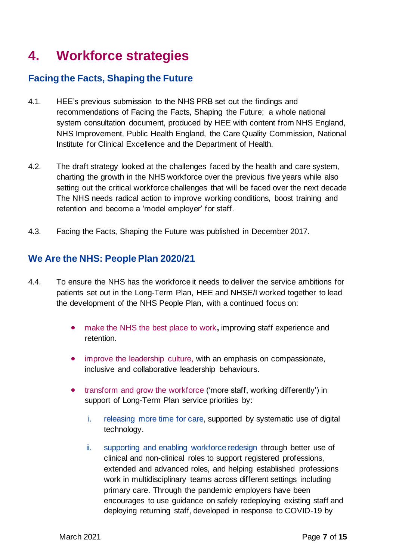# **4. Workforce strategies**

### **Facing the Facts, Shaping the Future**

- 4.1. HEE's previous submission to the NHS PRB set out the findings and recommendations of Facing the Facts, Shaping the Future; a whole national system consultation document, produced by HEE with content from NHS England, NHS Improvement, Public Health England, the Care Quality Commission, National Institute for Clinical Excellence and the Department of Health.
- 4.2. The draft strategy looked at the challenges faced by the health and care system, charting the growth in the NHS workforce over the previous five years while also setting out the critical workforce challenges that will be faced over the next decade The NHS needs radical action to improve working conditions, boost training and retention and become a 'model employer' for staff.
- 4.3. Facing the Facts, Shaping the Future was published in December 2017.

### We Are the NHS: People Plan 2020/21

- 4.4. To ensure the NHS has the workforce it needs to deliver the service ambitions for patients set out in the Long-Term Plan, HEE and NHSE/I worked together to lead the development of the NHS People Plan, with a continued focus on:
	- make the NHS the best place to work**,** improving staff experience and retention.
	- improve the leadership culture, with an emphasis on compassionate, inclusive and collaborative leadership behaviours.
	- transform and grow the workforce ('more staff, working differently') in support of Long-Term Plan service priorities by:
		- i. releasing more time for care, supported by systematic use of digital technology.
		- ii. supporting and enabling workforce redesign through better use of clinical and non-clinical roles to support registered professions, extended and advanced roles, and helping established professions work in multidisciplinary teams across different settings including primary care. Through the pandemic employers have been encourages to use guidance on safely redeploying existing staff and deploying returning staff, developed in response to COVID-19 by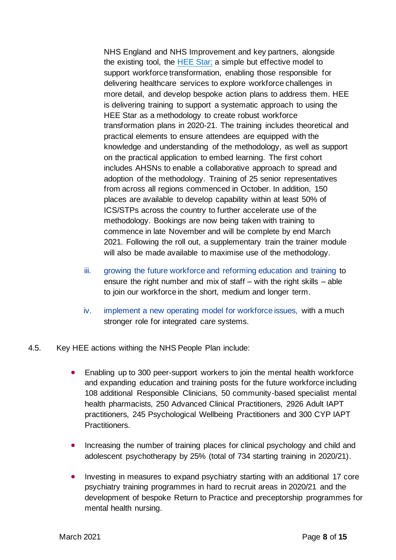NHS England and NHS Improvement and key partners, alongside the existing tool, the **HEE Star**; a simple but effective model to support workforce transformation, enabling those responsible for delivering healthcare services to explore workforce challenges in more detail, and develop bespoke action plans to address them. HEE is delivering training to support a systematic approach to using the HEE Star as a methodology to create robust workforce transformation plans in 2020-21. The training includes theoretical and practical elements to ensure attendees are equipped with the knowledge and understanding of the methodology, as well as support on the practical application to embed learning. The first cohort includes AHSNs to enable a collaborative approach to spread and adoption of the methodology. Training of 25 senior representatives from across all regions commenced in October. In addition, 150 places are available to develop capability within at least 50% of ICS/STPs across the country to further accelerate use of the methodology. Bookings are now being taken with training to commence in late November and will be complete by end March 2021. Following the roll out, a supplementary train the trainer module will also be made available to maximise use of the methodology.

- iii. growing the future workforce and reforming education and training to ensure the right number and mix of staff – with the right skills – able to join our workforce in the short, medium and longer term.
- iv. implement a new operating model for workforce issues, with a much stronger role for integrated care systems.
- 4.5. Key HEE actions withing the NHS People Plan include:
	- Enabling up to 300 peer-support workers to join the mental health workforce and expanding education and training posts for the future workforce including 108 additional Responsible Clinicians, 50 community-based specialist mental health pharmacists, 250 Advanced Clinical Practitioners, 2926 Adult IAPT practitioners, 245 Psychological Wellbeing Practitioners and 300 CYP IAPT Practitioners.
	- Increasing the number of training places for clinical psychology and child and adolescent psychotherapy by 25% (total of 734 starting training in 2020/21).
	- Investing in measures to expand psychiatry starting with an additional 17 core psychiatry training programmes in hard to recruit areas in 2020/21 and the development of bespoke Return to Practice and preceptorship programmes for mental health nursing.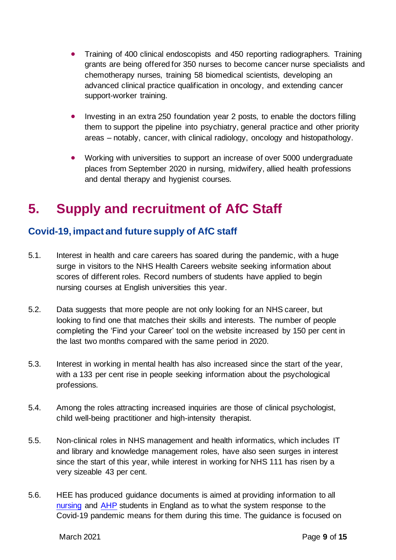- Training of 400 clinical endoscopists and 450 reporting radiographers. Training grants are being offered for 350 nurses to become cancer nurse specialists and chemotherapy nurses, training 58 biomedical scientists, developing an advanced clinical practice qualification in oncology, and extending cancer support-worker training.
- Investing in an extra 250 foundation year 2 posts, to enable the doctors filling them to support the pipeline into psychiatry, general practice and other priority areas – notably, cancer, with clinical radiology, oncology and histopathology.
- Working with universities to support an increase of over 5000 undergraduate places from September 2020 in nursing, midwifery, allied health professions and dental therapy and hygienist courses.

# **5. Supply and recruitment of AfC Staff**

# **Covid-19, impact and future supply of AfC staff**

- 5.1. Interest in health and care careers has soared during the pandemic, with a huge surge in visitors to the NHS Health Careers website seeking information about scores of different roles. Record numbers of students have applied to begin nursing courses at English universities this year.
- 5.2. Data suggests that more people are not only looking for an NHS career, but looking to find one that matches their skills and interests. The number of people completing the 'Find your Career' tool on the website increased by 150 per cent in the last two months compared with the same period in 2020.
- 5.3. Interest in working in mental health has also increased since the start of the year, with a 133 per cent rise in people seeking information about the psychological professions.
- 5.4. Among the roles attracting increased inquiries are those of clinical psychologist, child well-being practitioner and high-intensity therapist.
- 5.5. Non-clinical roles in NHS management and health informatics, which includes IT and library and knowledge management roles, have also seen surges in interest since the start of this year, while interest in working for NHS 111 has risen by a very sizeable 43 per cent.
- 5.6. HEE has produced guidance documents is aimed at providing information to all [nursing](https://www.hee.nhs.uk/covid-19/nursing-midwifery) and [AHP](https://www.hee.nhs.uk/covid-19/allied-health-professions) students in England as to what the system response to the Covid-19 pandemic means for them during this time. The guidance is focused on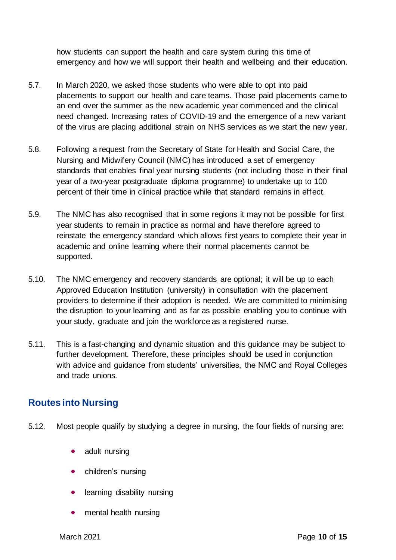how students can support the health and care system during this time of emergency and how we will support their health and wellbeing and their education.

- 5.7. In March 2020, we asked those students who were able to opt into paid placements to support our health and care teams. Those paid placements came to an end over the summer as the new academic year commenced and the clinical need changed. Increasing rates of COVID-19 and the emergence of a new variant of the virus are placing additional strain on NHS services as we start the new year.
- 5.8. Following a request from the Secretary of State for Health and Social Care, the Nursing and Midwifery Council (NMC) has introduced a set of emergency standards that enables final year nursing students (not including those in their final year of a two-year postgraduate diploma programme) to undertake up to 100 percent of their time in clinical practice while that standard remains in effect.
- 5.9. The NMC has also recognised that in some regions it may not be possible for first year students to remain in practice as normal and have therefore agreed to reinstate the emergency standard which allows first years to complete their year in academic and online learning where their normal placements cannot be supported.
- 5.10. The NMC emergency and recovery standards are optional; it will be up to each Approved Education Institution (university) in consultation with the placement providers to determine if their adoption is needed. We are committed to minimising the disruption to your learning and as far as possible enabling you to continue with your study, graduate and join the workforce as a registered nurse.
- 5.11. This is a fast-changing and dynamic situation and this guidance may be subject to further development. Therefore, these principles should be used in conjunction with advice and guidance from students' universities, the NMC and Royal Colleges and trade unions.

# **Routes into Nursing**

- 5.12. Most people qualify by studying a degree in nursing, the four fields of nursing are:
	- [adult nursing](https://www.healthcareers.nhs.uk/explore-roles/nursing/roles-nursing/adult-nurse)
	- [children's nursing](https://www.healthcareers.nhs.uk/explore-roles/nursing/roles-nursing/childrens-nurse)
	- learning [disability nursing](https://www.healthcareers.nhs.uk/explore-roles/nursing/roles-nursing/learning-disability-nurse)
	- [mental health nursing](https://www.healthcareers.nhs.uk/explore-roles/nursing/roles-nursing/mental-health-nurse)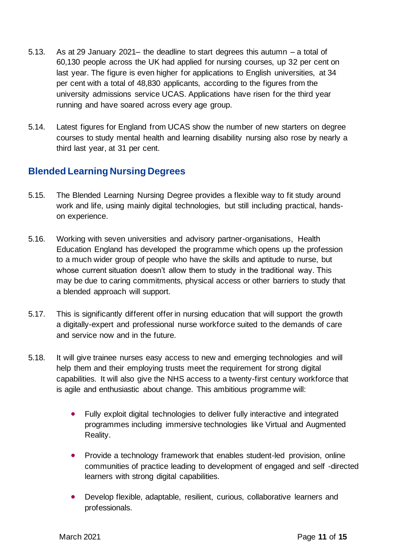- 5.13. As at 29 January 2021– the deadline to start degrees this autumn a total of 60,130 people across the UK had applied for nursing courses, up 32 per cent on last year. The figure is even higher for applications to English universities, at 34 per cent with a total of 48,830 applicants, according to the figures from the university admissions service UCAS. Applications have risen for the third year running and have soared across every age group.
- 5.14. Latest figures for England from UCAS show the number of new starters on degree courses to study mental health and learning disability nursing also rose by nearly a third last year, at 31 per cent.

### **Blended Learning Nursing Degrees**

- 5.15. The Blended Learning Nursing Degree provides a flexible way to fit study around work and life, using mainly digital technologies, but still including practical, handson experience.
- 5.16. Working with seven universities and advisory partner-organisations, Health Education England has developed the programme which opens up the profession to a much wider group of people who have the skills and aptitude to nurse, but whose current situation doesn't allow them to study in the traditional way. This may be due to caring commitments, physical access or other barriers to study that a blended approach will support.
- 5.17. This is significantly different offer in nursing education that will support the growth a digitally-expert and professional nurse workforce suited to the demands of care and service now and in the future.
- 5.18. It will give trainee nurses easy access to new and emerging technologies and will help them and their employing trusts meet the requirement for strong digital capabilities. It will also give the NHS access to a twenty-first century workforce that is agile and enthusiastic about change. This ambitious programme will:
	- Fully exploit digital technologies to deliver fully interactive and integrated programmes including immersive technologies like Virtual and Augmented Reality.
	- Provide a technology framework that enables student-led provision, online communities of practice leading to development of engaged and self -directed learners with strong digital capabilities.
	- Develop flexible, adaptable, resilient, curious, collaborative learners and professionals.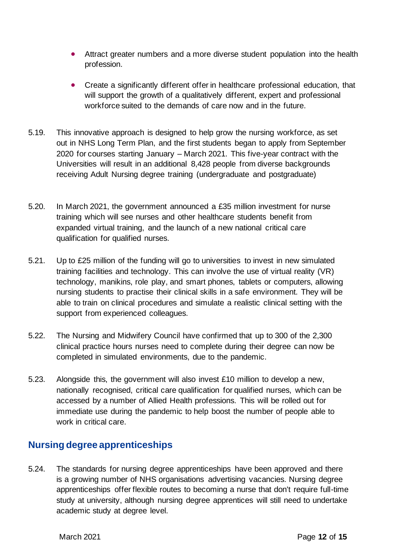- Attract greater numbers and a more diverse student population into the health profession.
- Create a significantly different offer in healthcare professional education, that will support the growth of a qualitatively different, expert and professional workforce suited to the demands of care now and in the future.
- 5.19. This innovative approach is designed to help grow the nursing workforce, as set out in NHS Long Term Plan, and the first students began to apply from September 2020 for courses starting January – March 2021. This five-year contract with the Universities will result in an additional 8,428 people from diverse backgrounds receiving Adult Nursing degree training (undergraduate and postgraduate)
- 5.20. In March 2021, the government announced a £35 million investment for nurse training which will see nurses and other healthcare students benefit from expanded virtual training, and the launch of a new national critical care qualification for qualified nurses.
- 5.21. Up to £25 million of the funding will go to universities to invest in new simulated training facilities and technology. This can involve the use of virtual reality (VR) technology, manikins, role play, and smart phones, tablets or computers, allowing nursing students to practise their clinical skills in a safe environment. They will be able to train on clinical procedures and simulate a realistic clinical setting with the support from experienced colleagues.
- 5.22. The Nursing and Midwifery Council have confirmed that up to 300 of the 2,300 clinical practice hours nurses need to complete during their degree can now be completed in simulated environments, due to the pandemic.
- 5.23. Alongside this, the government will also invest £10 million to develop a new, nationally recognised, critical care qualification for qualified nurses, which can be accessed by a number of Allied Health professions. This will be rolled out for immediate use during the pandemic to help boost the number of people able to work in critical care.

### **Nursing degree apprenticeships**

5.24. The standards for nursing degree apprenticeships have been approved and there is a growing number of NHS organisations advertising vacancies. Nursing degree apprenticeships offer flexible routes to becoming a nurse that don't require full-time study at university, although nursing degree apprentices will still need to undertake academic study at degree level.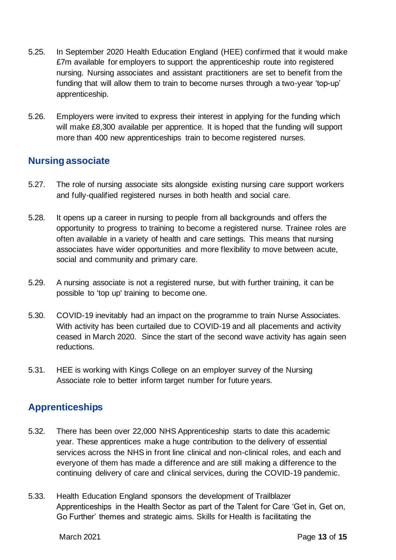- 5.25. In September 2020 Health Education England (HEE) confirmed that it would make £7m available for employers to support the apprenticeship route into registered nursing. Nursing associates and assistant practitioners are set to benefit from the funding that will allow them to train to become nurses through a two-year 'top-up' apprenticeship.
- 5.26. Employers were invited to express their interest in applying for the funding which will make £8,300 available per apprentice. It is hoped that the funding will support more than 400 new apprenticeships train to become registered nurses.

# **Nursing associate**

- 5.27. The role of nursing associate sits alongside existing nursing care support workers and fully-qualified registered nurses in both health and social care.
- 5.28. It opens up a career in nursing to people from all backgrounds and offers the opportunity to progress to training to become a registered nurse. Trainee roles are often available in a variety of health and care settings. This means that nursing associates have wider opportunities and more flexibility to move between acute, social and community and primary care.
- 5.29. A nursing associate is not a registered nurse, but with further training, it can be possible to 'top up' training to become one.
- 5.30. COVID-19 inevitably had an impact on the programme to train Nurse Associates. With activity has been curtailed due to COVID-19 and all placements and activity ceased in March 2020. Since the start of the second wave activity has again seen reductions.
- 5.31. HEE is working with Kings College on an employer survey of the Nursing Associate role to better inform target number for future years.

# **Apprenticeships**

- 5.32. There has been over 22,000 NHS Apprenticeship starts to date this academic year. These apprentices make a huge contribution to the delivery of essential services across the NHS in front line clinical and non-clinical roles, and each and everyone of them has made a difference and are still making a difference to the continuing delivery of care and clinical services, during the COVID-19 pandemic.
- 5.33. Health Education England sponsors the development of Trailblazer Apprenticeships in the Health Sector as part of the Talent for Care 'Get in, Get on, Go Further' themes and strategic aims. Skills for Health is facilitating the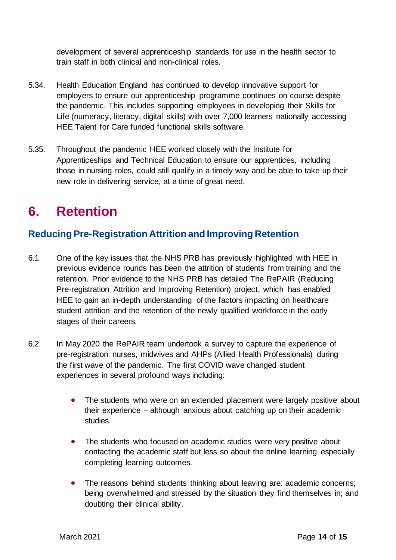development of several apprenticeship standards for use in the health sector to train staff in both clinical and non-clinical roles.

- 5.34. Health Education England has continued to develop innovative support for employers to ensure our apprenticeship programme continues on course despite the pandemic. This includes supporting employees in developing their Skills for Life (numeracy, literacy, digital skills) with over 7,000 learners nationally accessing HEE Talent for Care funded functional skills software.
- 5.35. Throughout the pandemic HEE worked closely with the Institute for Apprenticeships and Technical Education to ensure our apprentices, including those in nursing roles, could still qualify in a timely way and be able to take up their new role in delivering service, at a time of great need.

# **6. Retention**

# **Reducing Pre-Registration Attrition and Improving Retention**

- 6.1. One of the key issues that the NHS PRB has previously highlighted with HEE in previous evidence rounds has been the attrition of students from training and the retention. Prior evidence to the NHS PRB has detailed The RePAIR (Reducing Pre-registration Attrition and Improving Retention) project, which has enabled HEE to gain an in-depth understanding of the factors impacting on healthcare student attrition and the retention of the newly qualified workforce in the early stages of their careers.
- 6.2. In May 2020 the RePAIR team undertook a survey to capture the experience of pre-registration nurses, midwives and AHPs (Allied Health Professionals) during the first wave of the pandemic. The first COVID wave changed student experiences in several profound ways including:
	- The students who were on an extended placement were largely positive about their experience – although anxious about catching up on their academic studies.
	- The students who focused on academic studies were very positive about contacting the academic staff but less so about the online learning especially completing learning outcomes.
	- The reasons behind students thinking about leaving are: academic concerns; being overwhelmed and stressed by the situation they find themselves in; and doubting their clinical ability.